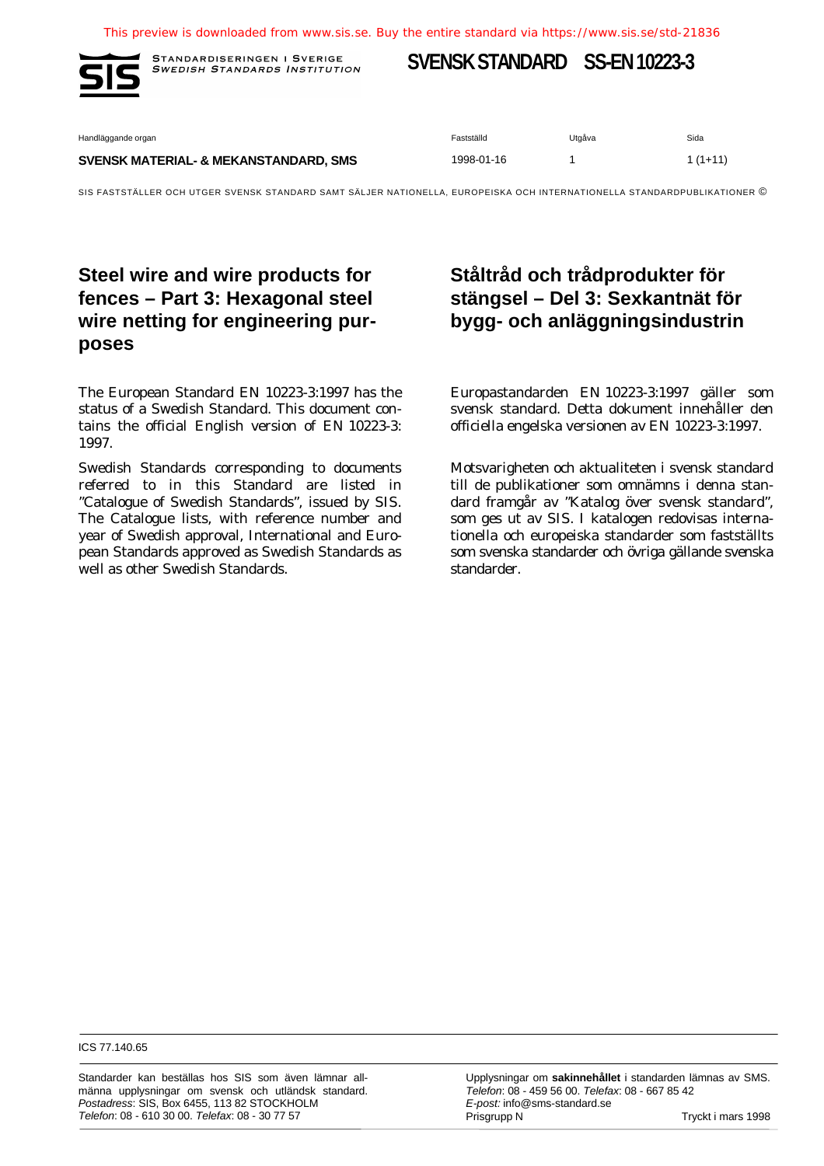

STANDARDISERINGEN I SVERIGE **SWEDISH STANDARDS INSTITUTION** 

**SVENSK STANDARD SS-EN 10223-3**

| Handläggande organ | <br>Fastställd | Utgåva | Sida |
|--------------------|----------------|--------|------|
| .                  |                |        |      |

**SVENSK MATERIAL- & MEKANSTANDARD, SMS** 1998-01-16 1 1 (1+11)

SIS FASTSTÄLLER OCH UTGER SVENSK STANDARD SAMT SÄLJER NATIONELLA, EUROPEISKA OCH INTERNATIONELLA STANDARDPUBLIKATIONER ©

# **Steel wire and wire products for fences – Part 3: Hexagonal steel wire netting for engineering purposes**

The European Standard EN 10223-3:1997 has the status of a Swedish Standard. This document contains the official English version of EN 10223-3: 1997.

Swedish Standards corresponding to documents referred to in this Standard are listed in "Catalogue of Swedish Standards", issued by SIS. The Catalogue lists, with reference number and year of Swedish approval, International and European Standards approved as Swedish Standards as well as other Swedish Standards.

# **Ståltråd och trådprodukter för stängsel – Del 3: Sexkantnät för bygg- och anläggningsindustrin**

Europastandarden EN 10223-3:1997 gäller som svensk standard. Detta dokument innehåller den officiella engelska versionen av EN 10223-3:1997.

Motsvarigheten och aktualiteten i svensk standard till de publikationer som omnämns i denna standard framgår av "Katalog över svensk standard", som ges ut av SIS. I katalogen redovisas internationella och europeiska standarder som fastställts som svenska standarder och övriga gällande svenska standarder.

ICS 77.140.65

Standarder kan beställas hos SIS som även lämnar allmänna upplysningar om svensk och utländsk standard. Postadress: SIS, Box 6455, 113 82 STOCKHOLM Telefon: 08 - 610 30 00. Telefax: 08 - 30 77 57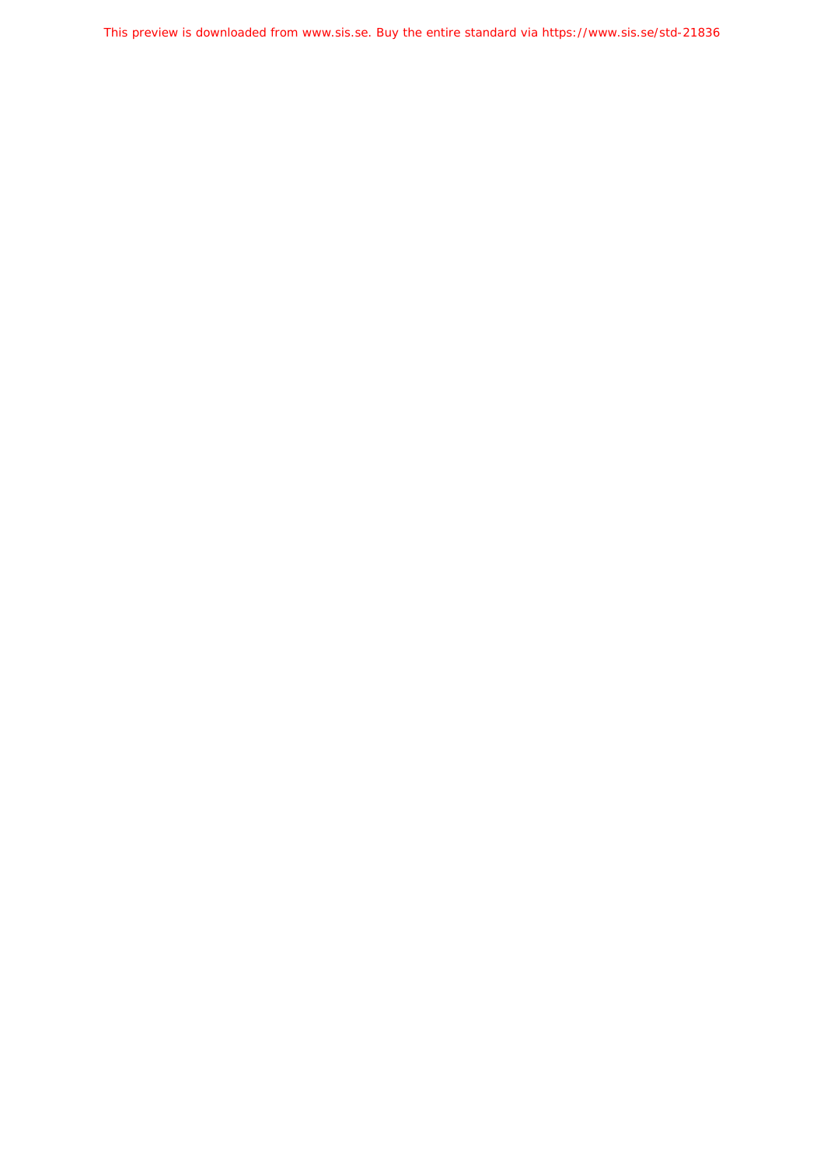This preview is downloaded from www.sis.se. Buy the entire standard via https://www.sis.se/std-21836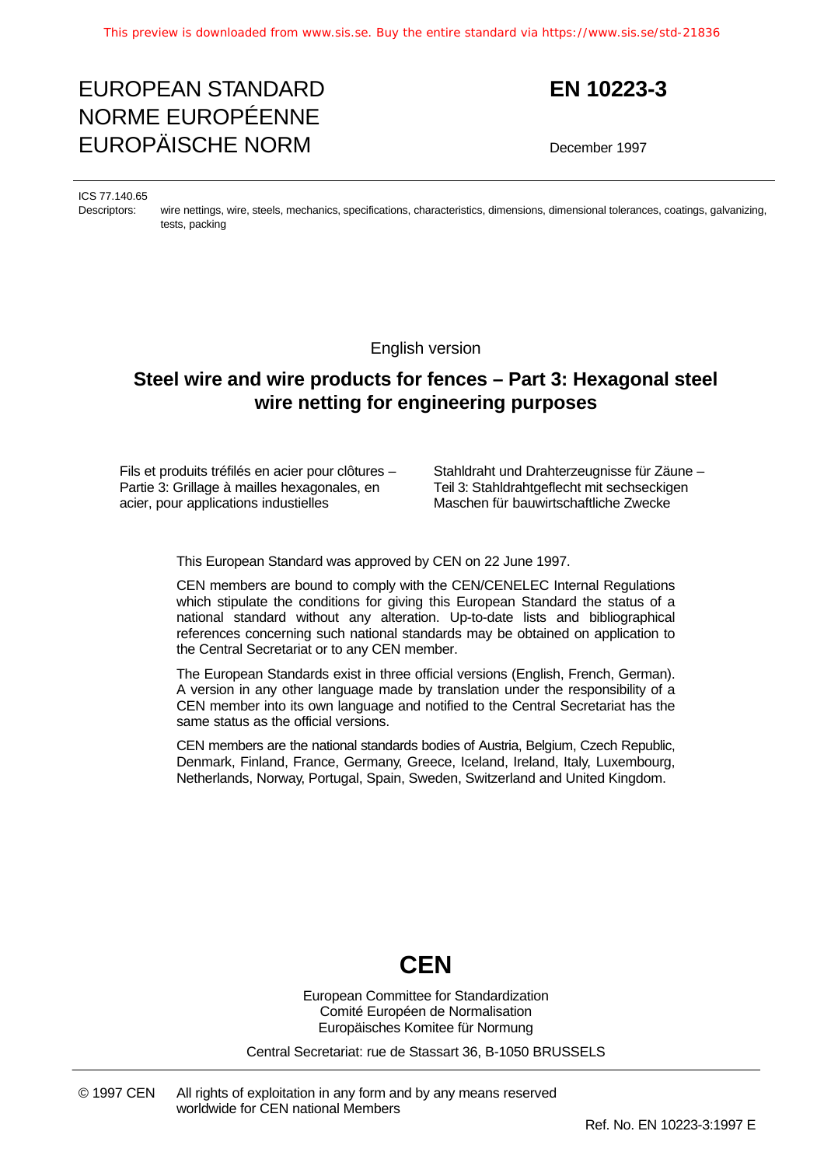# EUROPEAN STANDARD NORME EUROPÉENNE EUROPÄISCHE NORM



December 1997

ICS 77.140.65

Descriptors: wire nettings, wire, steels, mechanics, specifications, characteristics, dimensions, dimensional tolerances, coatings, galvanizing, tests, packing

English version

# **Steel wire and wire products for fences – Part 3: Hexagonal steel wire netting for engineering purposes**

Fils et produits tréfilés en acier pour clôtures – Partie 3: Grillage à mailles hexagonales, en acier, pour applications industielles

Stahldraht und Drahterzeugnisse für Zäune – Teil 3: Stahldrahtgeflecht mit sechseckigen Maschen für bauwirtschaftliche Zwecke

This European Standard was approved by CEN on 22 June 1997.

CEN members are bound to comply with the CEN/CENELEC Internal Regulations which stipulate the conditions for giving this European Standard the status of a national standard without any alteration. Up-to-date lists and bibliographical references concerning such national standards may be obtained on application to the Central Secretariat or to any CEN member.

The European Standards exist in three official versions (English, French, German). A version in any other language made by translation under the responsibility of a CEN member into its own language and notified to the Central Secretariat has the same status as the official versions.

CEN members are the national standards bodies of Austria, Belgium, Czech Republic, Denmark, Finland, France, Germany, Greece, Iceland, Ireland, Italy, Luxembourg, Netherlands, Norway, Portugal, Spain, Sweden, Switzerland and United Kingdom.



European Committee for Standardization Comité Européen de Normalisation Europäisches Komitee für Normung

Central Secretariat: rue de Stassart 36, B-1050 BRUSSELS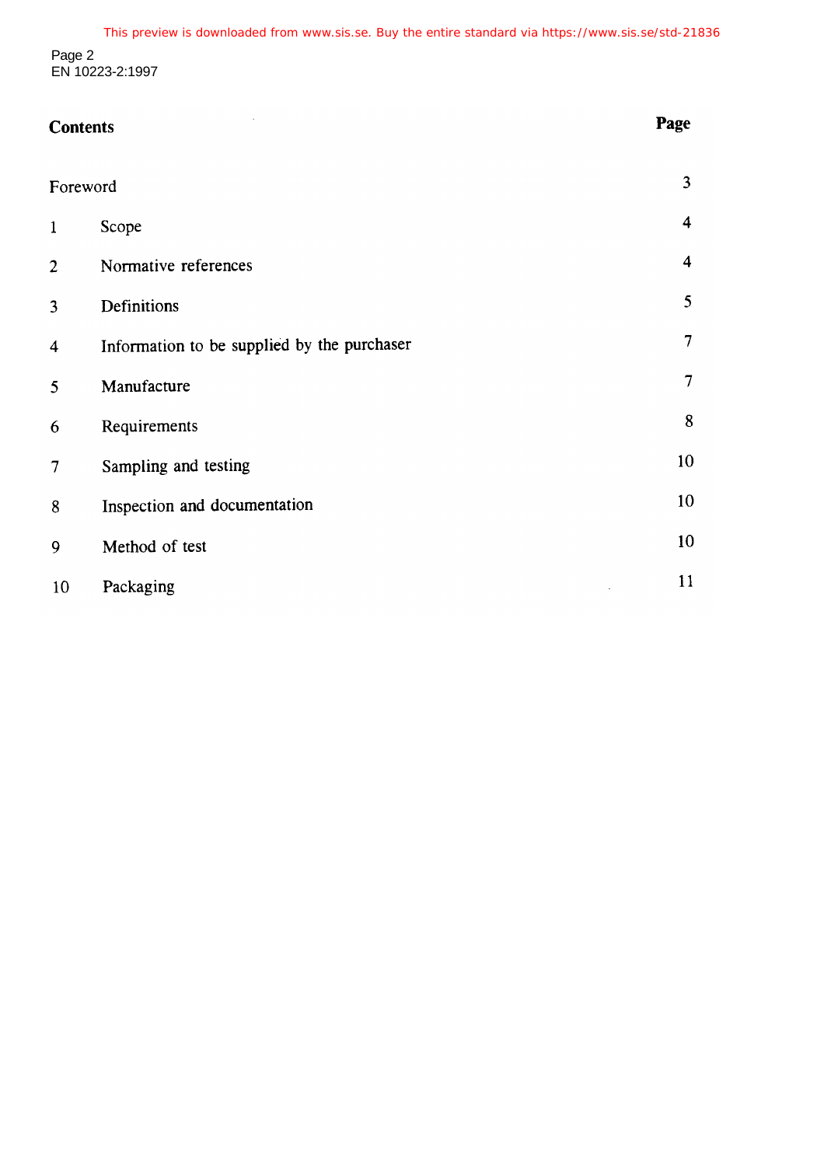Page 2 EN 10223-2:1997 This preview is downloaded from www.sis.se. Buy the entire standard via https://www.sis.se/std-21836

| <b>Contents</b> |                                             | Page           |
|-----------------|---------------------------------------------|----------------|
| Foreword        |                                             | $\overline{3}$ |
| $\mathbf{1}$    | Scope                                       | 4              |
| $\overline{2}$  | Normative references                        | 4              |
| 3               | Definitions                                 | 5              |
| $\overline{4}$  | Information to be supplied by the purchaser | 7              |
| 5               | Manufacture                                 | 7              |
| 6               | Requirements                                | 8              |
| $\overline{7}$  | Sampling and testing                        | 10             |
| 8               | Inspection and documentation                | 10             |
| 9               | Method of test                              | 10             |

| 10 Packaging |  | 11 |
|--------------|--|----|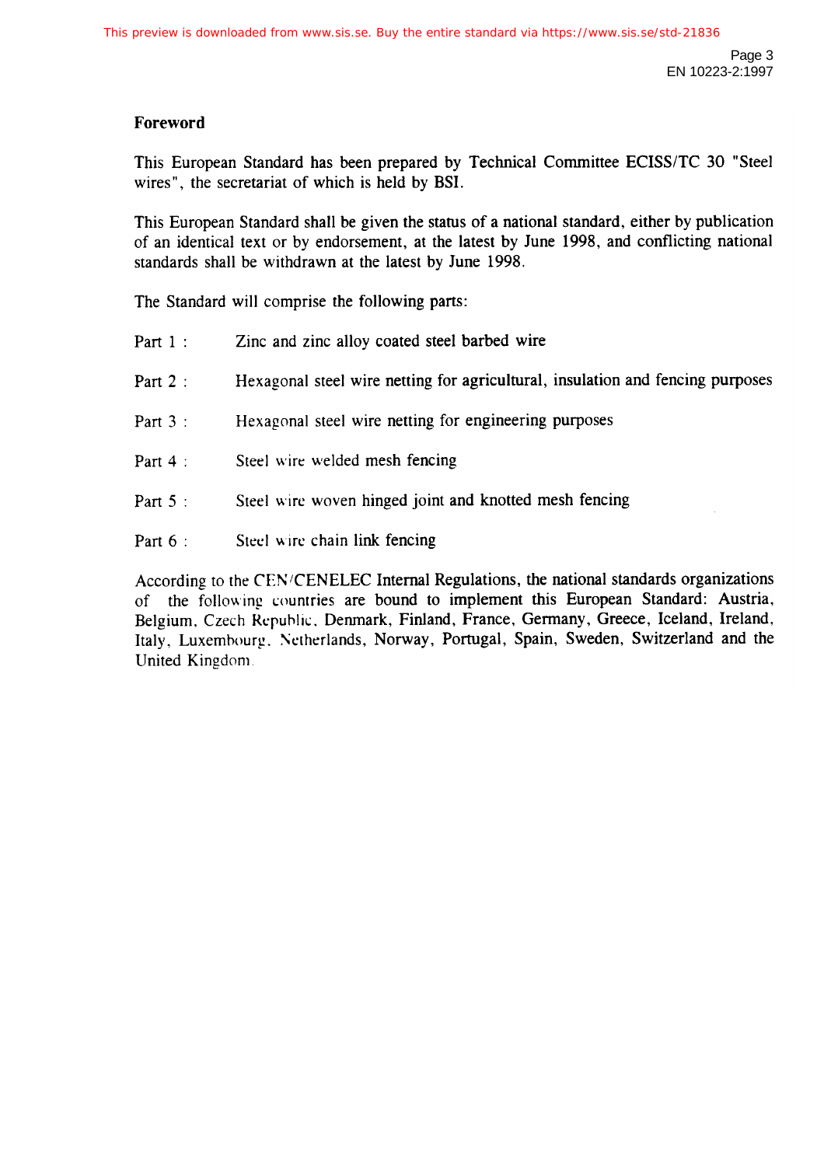#### Foreword

This European Standard has been prepared by Technical Committee ECISS/TC 30 "Steel wires", the secretariat of which is held by BSI.

This European Standard shall be given the status of a national standard, either by publication of an identical text or by endorsement, at the latest by June 1998, and conflicting national standards shall be withdrawn at the latest by June 1998.

The Standard will comprise the following parts:

- Zinc and zinc alloy coated steel barbed wire Part 1:
- Hexagonal steel wire netting for agricultural, insulation and fencing purposes Part  $2:$
- Part  $3:$ Hexagonal steel wire netting for engineering purposes
- Part 4: Steel wire welded mesh fencing
- Part 5: Steel wire woven hinged joint and knotted mesh fencing
- Part  $6:$ Steel wire chain link fencing

According to the CEN/CENELEC Internal Regulations, the national standards organizations the following countries are bound to implement this European Standard: Austria, <sub>of</sub> Belgium, Czech Republic, Denmark, Finland, France, Germany, Greece, Iceland, Ireland, Italy, Luxembourg. Netherlands, Norway, Portugal, Spain, Sweden, Switzerland and the United Kingdom.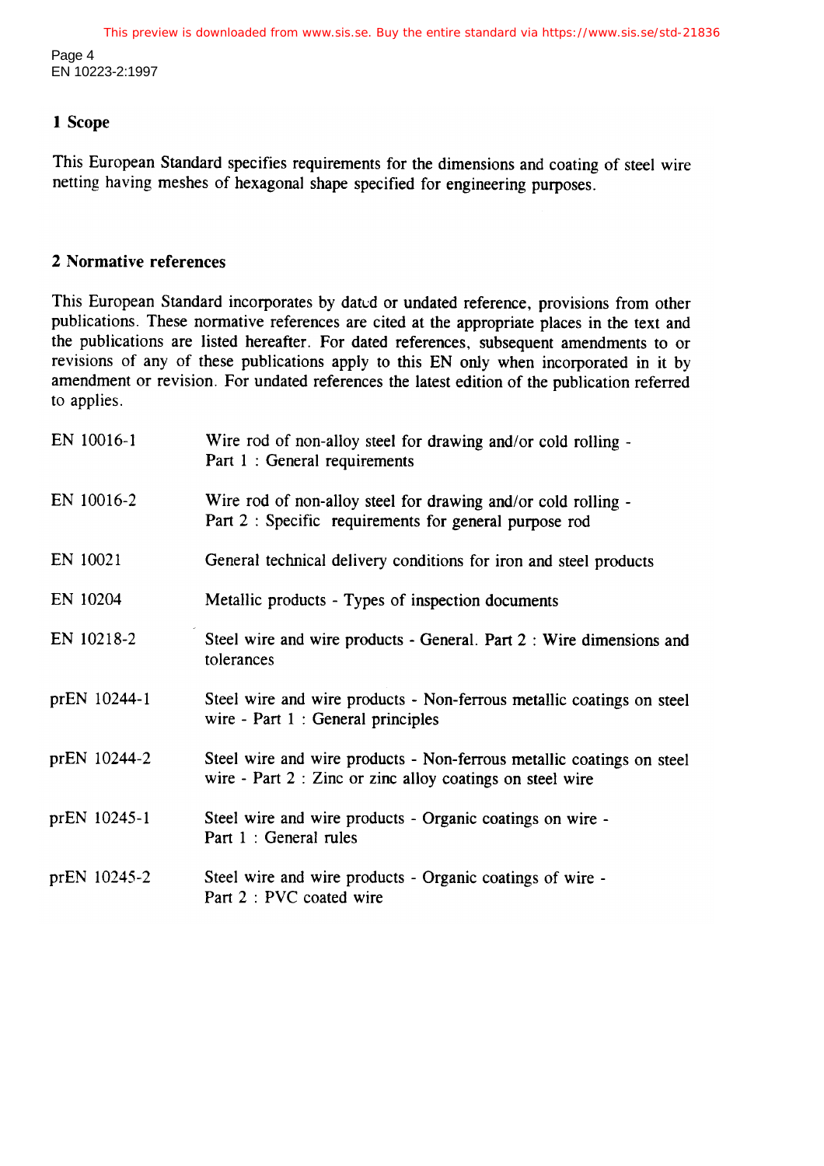EN 10223-2:1997

### 1 Scope

This European Standard specifies requirements for the dimensions and coating of steel wire netting having meshes of hexagonal shape specified for engineering purposes.

#### 2 Normative references

This European Standard incorporates by dated or undated reference, provisions from other publications. These normative references are cited at the appropriate places in the text and the publications are listed hereafter. For dated references, subsequent amendments to or revisions of any of these publications apply to this EN only when incorporated in it by amendment or revision. For undated references the latest edition of the publication referred to applies.

| EN 10016-1   | Wire rod of non-alloy steel for drawing and/or cold rolling -<br>Part 1 : General requirements                                      |
|--------------|-------------------------------------------------------------------------------------------------------------------------------------|
| EN 10016-2   | Wire rod of non-alloy steel for drawing and/or cold rolling -<br>Part 2 : Specific requirements for general purpose rod             |
| EN 10021     | General technical delivery conditions for iron and steel products                                                                   |
| EN 10204     | Metallic products - Types of inspection documents                                                                                   |
| EN 10218-2   | Steel wire and wire products - General. Part 2 : Wire dimensions and<br>tolerances                                                  |
| prEN 10244-1 | Steel wire and wire products - Non-ferrous metallic coatings on steel<br>wire - Part $1:$ General principles                        |
| prEN 10244-2 | Steel wire and wire products - Non-ferrous metallic coatings on steel<br>wire - Part $2:$ Zinc or zinc alloy coatings on steel wire |
| prEN 10245-1 | Steel wire and wire products - Organic coatings on wire -<br>Part 1 : General rules                                                 |
| prEN 10245-2 | Steel wire and wire products - Organic coatings of wire -<br>Part 2 : PVC coated wire                                               |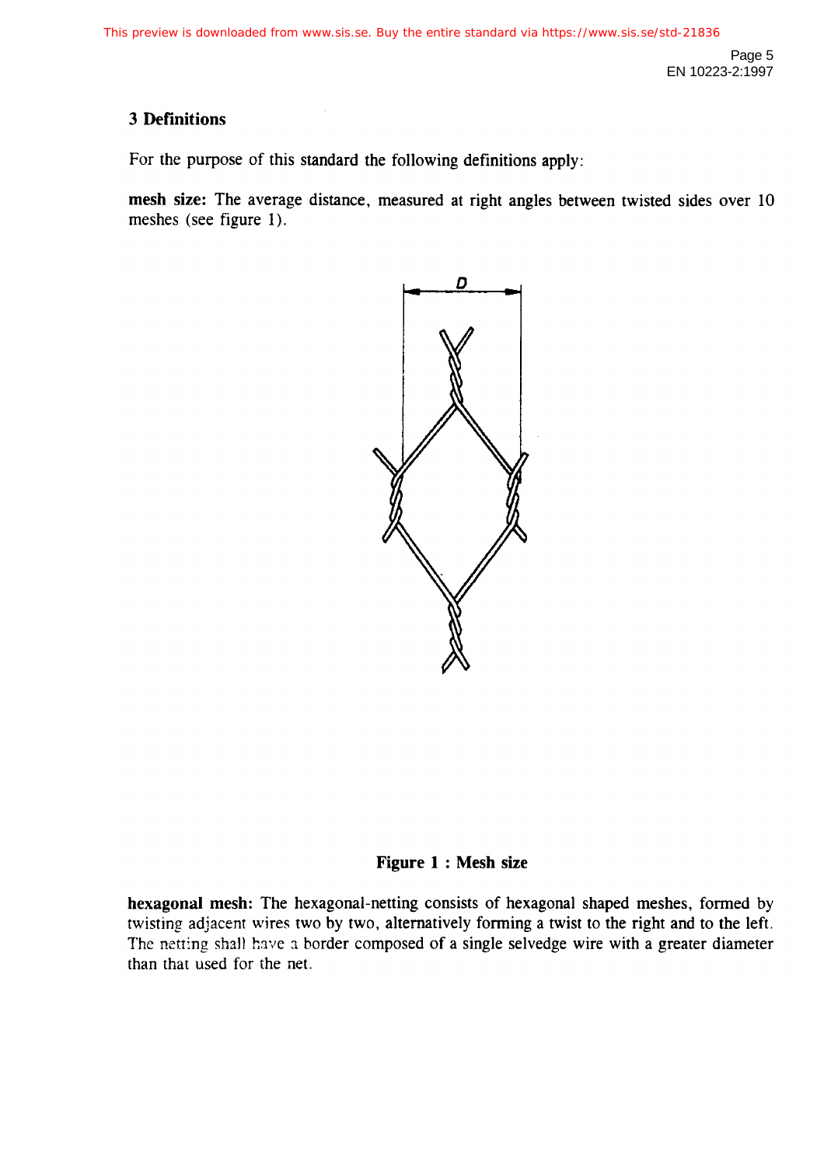#### **3 Definitions**

For the purpose of this standard the following definitions apply:

mesh size: The average distance, measured at right angles between twisted sides over 10 meshes (see figure 1).



#### Figure 1 : Mesh size

hexagonal mesh: The hexagonal-netting consists of hexagonal shaped meshes, formed by twisting adjacent wires two by two, alternatively forming a twist to the right and to the left. The netting shall have a border composed of a single selvedge wire with a greater diameter than that used for the net.